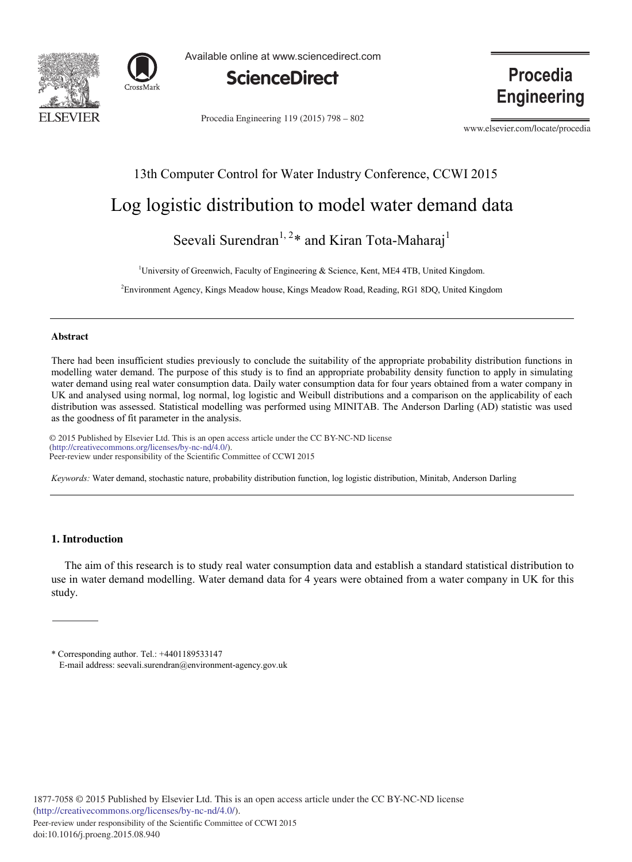



Available online at www.sciencedirect.com



Procedia Engineering 119 (2015) 798 - 802

Procedia **Engineering** 

www.elsevier.com/locate/procedia

# 13th Computer Control for Water Industry Conference, CCWI 2015

# Log logistic distribution to model water demand data

Seevali Surendran<sup>1, 2\*</sup> and Kiran Tota-Maharaj<sup>1</sup>

<sup>1</sup>University of Greenwich, Faculty of Engineering & Science, Kent, ME4 4TB, United Kingdom.

2 Environment Agency, Kings Meadow house, Kings Meadow Road, Reading, RG1 8DQ, United Kingdom

#### **Abstract**

There had been insufficient studies previously to conclude the suitability of the appropriate probability distribution functions in modelling water demand. The purpose of this study is to find an appropriate probability density function to apply in simulating water demand using real water consumption data. Daily water consumption data for four years obtained from a water company in UK and analysed using normal, log normal, log logistic and Weibull distributions and a comparison on the applicability of each distribution was assessed. Statistical modelling was performed using MINITAB. The Anderson Darling (AD) statistic was used as the goodness of fit parameter in the analysis.

 $\degree$  2015 Published by Elsevier Ltd. This is an open access article under the CC BY-NC-ND license Peer-review under responsibility of the Scientific Committee of CCWI 2015. Peer-review under responsibility of the Scientific Committee of CCWI 2015(http://creativecommons.org/licenses/by-nc-nd/4.0/).

*Keywords:* Water demand, stochastic nature, probability distribution function, log logistic distribution, Minitab, Anderson Darling

## **1. Introduction**

The aim of this research is to study real water consumption data and establish a standard statistical distribution to use in water demand modelling. Water demand data for 4 years were obtained from a water company in UK for this study.

\* Corresponding author. Tel.: +4401189533147 E-mail address: seevali.surendran@environment-agency.gov.uk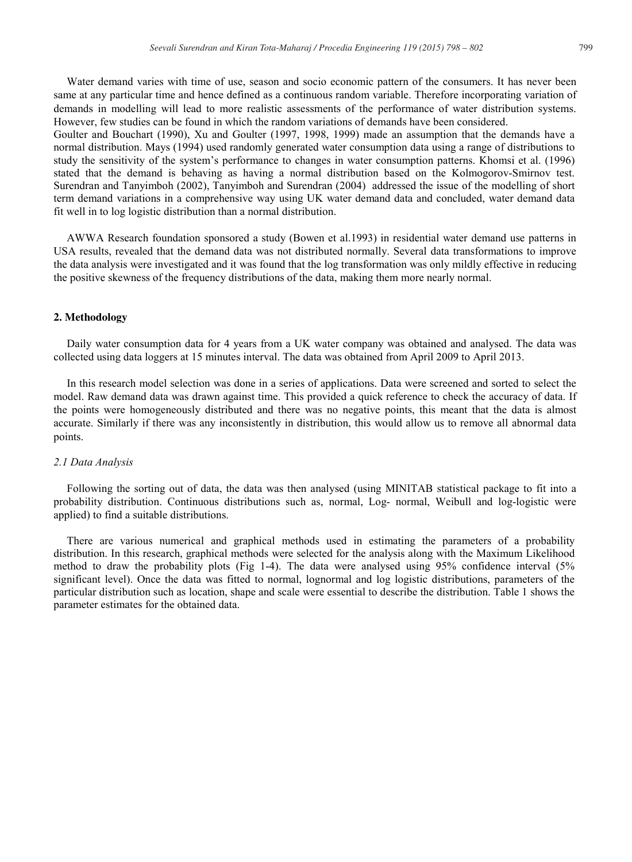Water demand varies with time of use, season and socio economic pattern of the consumers. It has never been same at any particular time and hence defined as a continuous random variable. Therefore incorporating variation of demands in modelling will lead to more realistic assessments of the performance of water distribution systems. However, few studies can be found in which the random variations of demands have been considered.

Goulter and Bouchart (1990), Xu and Goulter (1997, 1998, 1999) made an assumption that the demands have a normal distribution. Mays (1994) used randomly generated water consumption data using a range of distributions to study the sensitivity of the system's performance to changes in water consumption patterns. Khomsi et al. (1996) stated that the demand is behaving as having a normal distribution based on the Kolmogorov-Smirnov test. Surendran and Tanyimboh (2002), Tanyimboh and Surendran (2004) addressed the issue of the modelling of short term demand variations in a comprehensive way using UK water demand data and concluded, water demand data fit well in to log logistic distribution than a normal distribution.

AWWA Research foundation sponsored a study (Bowen et al.1993) in residential water demand use patterns in USA results, revealed that the demand data was not distributed normally. Several data transformations to improve the data analysis were investigated and it was found that the log transformation was only mildly effective in reducing the positive skewness of the frequency distributions of the data, making them more nearly normal.

## **2. Methodology**

Daily water consumption data for 4 years from a UK water company was obtained and analysed. The data was collected using data loggers at 15 minutes interval. The data was obtained from April 2009 to April 2013.

In this research model selection was done in a series of applications. Data were screened and sorted to select the model. Raw demand data was drawn against time. This provided a quick reference to check the accuracy of data. If the points were homogeneously distributed and there was no negative points, this meant that the data is almost accurate. Similarly if there was any inconsistently in distribution, this would allow us to remove all abnormal data points.

### *2.1 Data Analysis*

Following the sorting out of data, the data was then analysed (using MINITAB statistical package to fit into a probability distribution. Continuous distributions such as, normal, Log- normal, Weibull and log-logistic were applied) to find a suitable distributions.

There are various numerical and graphical methods used in estimating the parameters of a probability distribution. In this research, graphical methods were selected for the analysis along with the Maximum Likelihood method to draw the probability plots (Fig 1-4). The data were analysed using 95% confidence interval (5% significant level). Once the data was fitted to normal, lognormal and log logistic distributions, parameters of the particular distribution such as location, shape and scale were essential to describe the distribution. Table 1 shows the parameter estimates for the obtained data.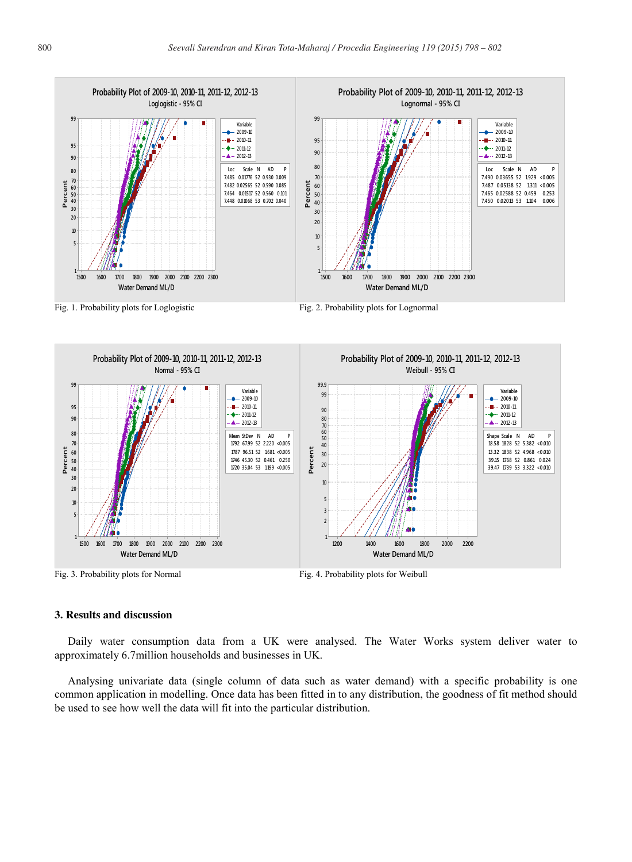

Fig. 1. Probability plots for Loglogistic Fig. 2. Probability plots for Lognormal



## **3. Results and discussion**

Daily water consumption data from a UK were analysed. The Water Works system deliver water to approximately 6.7million households and businesses in UK.

Analysing univariate data (single column of data such as water demand) with a specific probability is one common application in modelling. Once data has been fitted in to any distribution, the goodness of fit method should be used to see how well the data will fit into the particular distribution.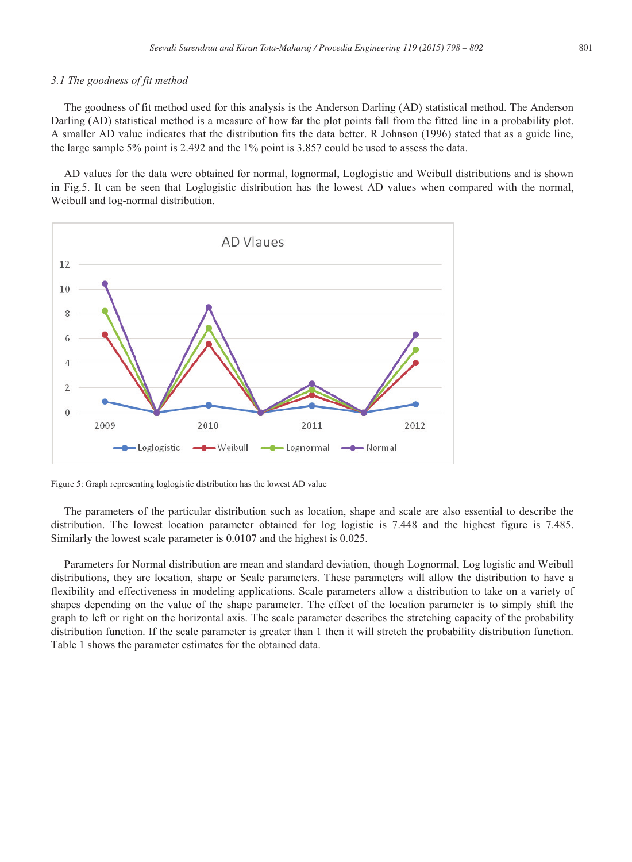#### *3.1 The goodness of fit method*

The goodness of fit method used for this analysis is the Anderson Darling (AD) statistical method. The Anderson Darling (AD) statistical method is a measure of how far the plot points fall from the fitted line in a probability plot. A smaller AD value indicates that the distribution fits the data better. R Johnson (1996) stated that as a guide line, the large sample 5% point is 2.492 and the 1% point is 3.857 could be used to assess the data.

AD values for the data were obtained for normal, lognormal, Loglogistic and Weibull distributions and is shown in Fig.5. It can be seen that Loglogistic distribution has the lowest AD values when compared with the normal, Weibull and log-normal distribution.



Figure 5: Graph representing loglogistic distribution has the lowest AD value

The parameters of the particular distribution such as location, shape and scale are also essential to describe the distribution. The lowest location parameter obtained for log logistic is 7.448 and the highest figure is 7.485. Similarly the lowest scale parameter is 0.0107 and the highest is 0.025.

Parameters for Normal distribution are mean and standard deviation, though Lognormal, Log logistic and Weibull distributions, they are location, shape or Scale parameters. These parameters will allow the distribution to have a flexibility and effectiveness in modeling applications. Scale parameters allow a distribution to take on a variety of shapes depending on the value of the shape parameter. The effect of the location parameter is to simply shift the graph to left or right on the horizontal axis. The scale parameter describes the stretching capacity of the probability distribution function. If the scale parameter is greater than 1 then it will stretch the probability distribution function. Table 1 shows the parameter estimates for the obtained data.